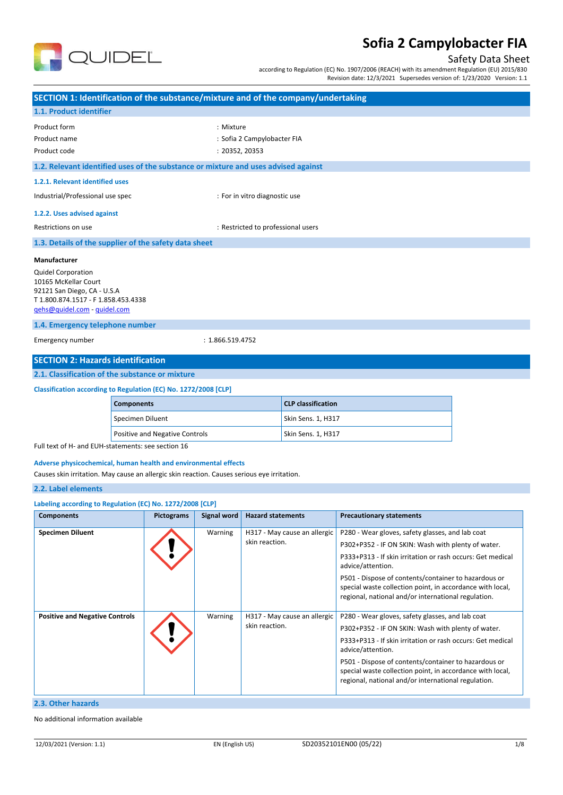

# Safety Data Sheet

according to Regulation (EC) No. 1907/2006 (REACH) with its amendment Regulation (EU) 2015/830 Revision date: 12/3/2021 Supersedes version of: 1/23/2020 Version: 1.1

| SECTION 1: Identification of the substance/mixture and of the company/undertaking                                                                              |  |                   |                    |                                    |                              |                                                                                                                                                                          |  |
|----------------------------------------------------------------------------------------------------------------------------------------------------------------|--|-------------------|--------------------|------------------------------------|------------------------------|--------------------------------------------------------------------------------------------------------------------------------------------------------------------------|--|
| 1.1. Product identifier                                                                                                                                        |  |                   |                    |                                    |                              |                                                                                                                                                                          |  |
| Product form                                                                                                                                                   |  |                   | : Mixture          |                                    |                              |                                                                                                                                                                          |  |
| Product name                                                                                                                                                   |  |                   |                    | : Sofia 2 Campylobacter FIA        |                              |                                                                                                                                                                          |  |
| Product code                                                                                                                                                   |  |                   |                    | : 20352, 20353                     |                              |                                                                                                                                                                          |  |
| 1.2. Relevant identified uses of the substance or mixture and uses advised against                                                                             |  |                   |                    |                                    |                              |                                                                                                                                                                          |  |
| 1.2.1. Relevant identified uses                                                                                                                                |  |                   |                    |                                    |                              |                                                                                                                                                                          |  |
| Industrial/Professional use spec                                                                                                                               |  |                   |                    | : For in vitro diagnostic use      |                              |                                                                                                                                                                          |  |
| 1.2.2. Uses advised against                                                                                                                                    |  |                   |                    |                                    |                              |                                                                                                                                                                          |  |
| Restrictions on use                                                                                                                                            |  |                   |                    | : Restricted to professional users |                              |                                                                                                                                                                          |  |
| 1.3. Details of the supplier of the safety data sheet                                                                                                          |  |                   |                    |                                    |                              |                                                                                                                                                                          |  |
| <b>Manufacturer</b>                                                                                                                                            |  |                   |                    |                                    |                              |                                                                                                                                                                          |  |
| <b>Quidel Corporation</b><br>10165 McKellar Court<br>92121 San Diego, CA - U.S.A<br>T1.800.874.1517 - F1.858.453.4338<br>gehs@quidel.com - guidel.com          |  |                   |                    |                                    |                              |                                                                                                                                                                          |  |
| 1.4. Emergency telephone number                                                                                                                                |  |                   |                    |                                    |                              |                                                                                                                                                                          |  |
| Emergency number                                                                                                                                               |  |                   | : 1.866.519.4752   |                                    |                              |                                                                                                                                                                          |  |
| <b>SECTION 2: Hazards identification</b>                                                                                                                       |  |                   |                    |                                    |                              |                                                                                                                                                                          |  |
| 2.1. Classification of the substance or mixture                                                                                                                |  |                   |                    |                                    |                              |                                                                                                                                                                          |  |
|                                                                                                                                                                |  |                   |                    |                                    |                              |                                                                                                                                                                          |  |
| Classification according to Regulation (EC) No. 1272/2008 [CLP]<br><b>Components</b>                                                                           |  |                   |                    | <b>CLP classification</b>          |                              |                                                                                                                                                                          |  |
| Specimen Diluent                                                                                                                                               |  |                   |                    |                                    | Skin Sens. 1, H317           |                                                                                                                                                                          |  |
| Positive and Negative Controls                                                                                                                                 |  |                   |                    | Skin Sens. 1, H317                 |                              |                                                                                                                                                                          |  |
| Full text of H- and EUH-statements: see section 16                                                                                                             |  |                   |                    |                                    |                              |                                                                                                                                                                          |  |
| Adverse physicochemical, human health and environmental effects<br>Causes skin irritation. May cause an allergic skin reaction. Causes serious eye irritation. |  |                   |                    |                                    |                              |                                                                                                                                                                          |  |
| 2.2. Label elements                                                                                                                                            |  |                   |                    |                                    |                              |                                                                                                                                                                          |  |
| Labeling according to Regulation (EC) No. 1272/2008 [CLP]                                                                                                      |  |                   |                    |                                    |                              |                                                                                                                                                                          |  |
| <b>Components</b>                                                                                                                                              |  | <b>Pictograms</b> | <b>Signal word</b> | <b>Hazard statements</b>           |                              | <b>Precautionary statements</b>                                                                                                                                          |  |
| <b>Specimen Diluent</b>                                                                                                                                        |  |                   | Warning            |                                    | H317 - May cause an allergic | P280 - Wear gloves, safety glasses, and lab coat                                                                                                                         |  |
|                                                                                                                                                                |  |                   |                    | skin reaction.                     |                              | P302+P352 - IF ON SKIN: Wash with plenty of water.                                                                                                                       |  |
|                                                                                                                                                                |  |                   |                    |                                    |                              | P333+P313 - If skin irritation or rash occurs: Get medical<br>advice/attention.                                                                                          |  |
|                                                                                                                                                                |  |                   |                    |                                    |                              | P501 - Dispose of contents/container to hazardous or<br>special waste collection point, in accordance with local,<br>regional, national and/or international regulation. |  |
| <b>Positive and Negative Controls</b>                                                                                                                          |  |                   | Warning            |                                    | H317 - May cause an allergic | P280 - Wear gloves, safety glasses, and lab coat                                                                                                                         |  |
|                                                                                                                                                                |  |                   |                    | skin reaction.                     |                              | P302+P352 - IF ON SKIN: Wash with plenty of water.                                                                                                                       |  |
|                                                                                                                                                                |  |                   |                    |                                    |                              | P333+P313 - If skin irritation or rash occurs: Get medical<br>advice/attention.                                                                                          |  |
|                                                                                                                                                                |  |                   |                    |                                    |                              | P501 - Dispose of contents/container to hazardous or<br>special waste collection point, in accordance with local,<br>regional, national and/or international regulation. |  |
| 2.3. Other hazards                                                                                                                                             |  |                   |                    |                                    |                              |                                                                                                                                                                          |  |

#### **2.3. Other hazards**

No additional information available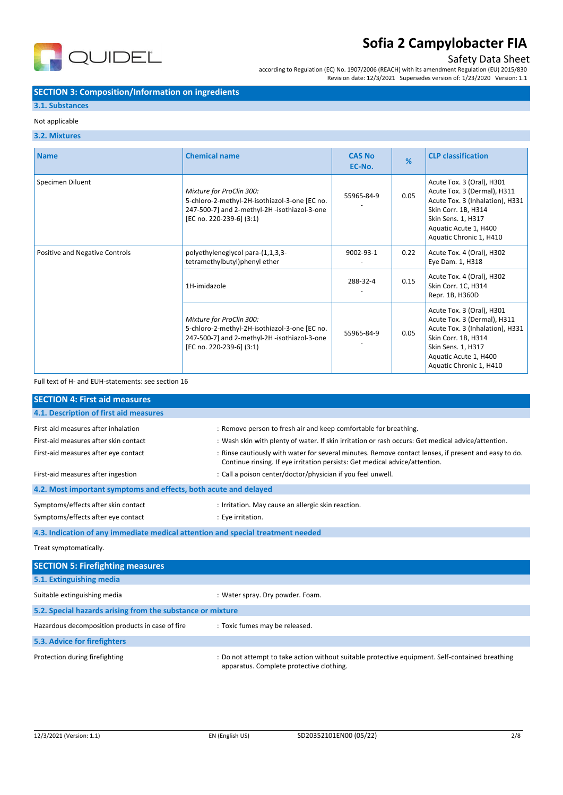

## Safety Data Sheet

according to Regulation (EC) No. 1907/2006 (REACH) with its amendment Regulation (EU) 2015/830 Revision date: 12/3/2021 Supersedes version of: 1/23/2020 Version: 1.1

### **SECTION 3: Composition/Information on ingredients**

### **3.1. Substances**

#### Not applicable

#### **3.2. Mixtures**

| <b>Name</b>                    | <b>Chemical name</b>                                                                                                                                  | <b>CAS No</b><br>EC-No. | %    | <b>CLP classification</b>                                                                                                                                                                    |
|--------------------------------|-------------------------------------------------------------------------------------------------------------------------------------------------------|-------------------------|------|----------------------------------------------------------------------------------------------------------------------------------------------------------------------------------------------|
| Specimen Diluent               | Mixture for ProClin 300:<br>5-chloro-2-methyl-2H-isothiazol-3-one [EC no.<br>247-500-7] and 2-methyl-2H -isothiazol-3-one<br>[EC no. 220-239-6] (3:1) | 55965-84-9              | 0.05 | Acute Tox. 3 (Oral), H301<br>Acute Tox. 3 (Dermal), H311<br>Acute Tox. 3 (Inhalation), H331<br>Skin Corr. 1B, H314<br>Skin Sens. 1, H317<br>Aquatic Acute 1, H400<br>Aquatic Chronic 1, H410 |
| Positive and Negative Controls | polyethyleneglycol para-(1,1,3,3-<br>tetramethylbutyl)phenyl ether                                                                                    | 9002-93-1               | 0.22 | Acute Tox. 4 (Oral), H302<br>Eye Dam. 1, H318                                                                                                                                                |
|                                | 1H-imidazole                                                                                                                                          | 288-32-4                | 0.15 | Acute Tox. 4 (Oral), H302<br>Skin Corr. 1C, H314<br>Repr. 1B, H360D                                                                                                                          |
|                                | Mixture for ProClin 300:<br>5-chloro-2-methyl-2H-isothiazol-3-one [EC no.<br>247-500-7] and 2-methyl-2H -isothiazol-3-one<br>[EC no. 220-239-6] (3:1) | 55965-84-9              | 0.05 | Acute Tox. 3 (Oral), H301<br>Acute Tox. 3 (Dermal), H311<br>Acute Tox. 3 (Inhalation), H331<br>Skin Corr. 1B, H314<br>Skin Sens. 1, H317<br>Aquatic Acute 1, H400<br>Aquatic Chronic 1, H410 |

Full text of H- and EUH-statements: see section 16

| <b>SECTION 4: First aid measures</b>                                            |                                                                                                                                                                                     |  |
|---------------------------------------------------------------------------------|-------------------------------------------------------------------------------------------------------------------------------------------------------------------------------------|--|
| 4.1. Description of first aid measures                                          |                                                                                                                                                                                     |  |
| First-aid measures after inhalation                                             | : Remove person to fresh air and keep comfortable for breathing.                                                                                                                    |  |
| First-aid measures after skin contact                                           | : Wash skin with plenty of water. If skin irritation or rash occurs: Get medical advice/attention.                                                                                  |  |
| First-aid measures after eye contact                                            | : Rinse cautiously with water for several minutes. Remove contact lenses, if present and easy to do.<br>Continue rinsing. If eye irritation persists: Get medical advice/attention. |  |
| First-aid measures after ingestion                                              | : Call a poison center/doctor/physician if you feel unwell.                                                                                                                         |  |
| 4.2. Most important symptoms and effects, both acute and delayed                |                                                                                                                                                                                     |  |
| Symptoms/effects after skin contact                                             | : Irritation. May cause an allergic skin reaction.                                                                                                                                  |  |
| Symptoms/effects after eye contact                                              | : Eye irritation.                                                                                                                                                                   |  |
| 4.3. Indication of any immediate medical attention and special treatment needed |                                                                                                                                                                                     |  |
| Treat symptomatically.                                                          |                                                                                                                                                                                     |  |
| <b>SECTION 5: Firefighting measures</b>                                         |                                                                                                                                                                                     |  |
| 5.1. Extinguishing media                                                        |                                                                                                                                                                                     |  |
| Suitable extinguishing media                                                    | : Water spray. Dry powder. Foam.                                                                                                                                                    |  |
| 5.2. Special hazards arising from the substance or mixture                      |                                                                                                                                                                                     |  |
| Hazardous decomposition products in case of fire                                | : Toxic fumes may be released.                                                                                                                                                      |  |
| 5.3. Advice for firefighters                                                    |                                                                                                                                                                                     |  |
|                                                                                 |                                                                                                                                                                                     |  |

Protection during firefighting statempt to take action without suitable protective equipment. Self-contained breathing apparatus. Complete protective clothing.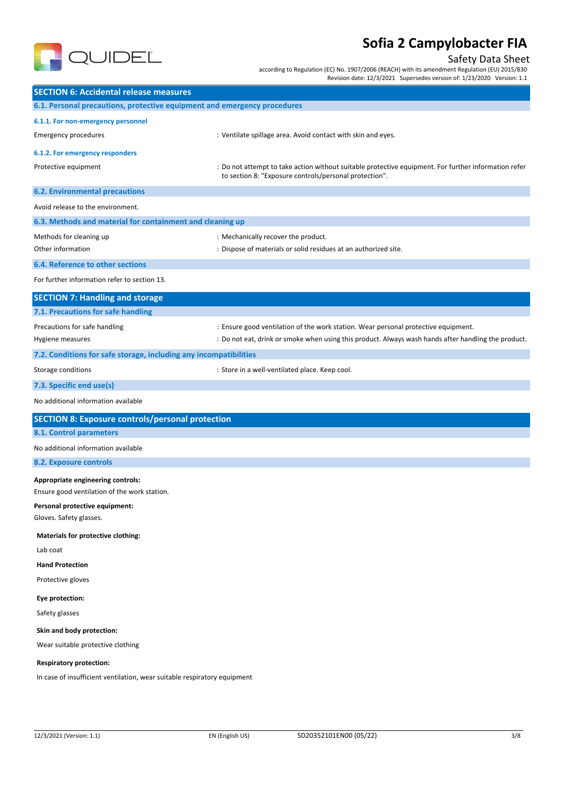

# Safety Data Sheet

according to Regulation (EC) No. 1907/2006 (REACH) with its amendment Regulation (EU) 2015/830 Revision date: 12/3/2021 Supersedes version of: 1/23/2020 Version: 1.1

| <b>SECTION 6: Accidental release measures</b>                            |                                                                                                                                                                |  |
|--------------------------------------------------------------------------|----------------------------------------------------------------------------------------------------------------------------------------------------------------|--|
| 6.1. Personal precautions, protective equipment and emergency procedures |                                                                                                                                                                |  |
| 6.1.1. For non-emergency personnel                                       |                                                                                                                                                                |  |
| <b>Emergency procedures</b>                                              | : Ventilate spillage area. Avoid contact with skin and eyes.                                                                                                   |  |
| 6.1.2. For emergency responders                                          |                                                                                                                                                                |  |
| Protective equipment                                                     | : Do not attempt to take action without suitable protective equipment. For further information refer<br>to section 8: "Exposure controls/personal protection". |  |
| <b>6.2. Environmental precautions</b>                                    |                                                                                                                                                                |  |
| Avoid release to the environment.                                        |                                                                                                                                                                |  |
| 6.3. Methods and material for containment and cleaning up                |                                                                                                                                                                |  |
| Methods for cleaning up                                                  | : Mechanically recover the product.                                                                                                                            |  |
| Other information                                                        | : Dispose of materials or solid residues at an authorized site.                                                                                                |  |
| 6.4. Reference to other sections                                         |                                                                                                                                                                |  |
| For further information refer to section 13.                             |                                                                                                                                                                |  |
| <b>SECTION 7: Handling and storage</b>                                   |                                                                                                                                                                |  |
| 7.1. Precautions for safe handling                                       |                                                                                                                                                                |  |
| Precautions for safe handling                                            | : Ensure good ventilation of the work station. Wear personal protective equipment.                                                                             |  |
| Hygiene measures                                                         | : Do not eat, drink or smoke when using this product. Always wash hands after handling the product.                                                            |  |
| 7.2. Conditions for safe storage, including any incompatibilities        |                                                                                                                                                                |  |
| Storage conditions                                                       | : Store in a well-ventilated place. Keep cool.                                                                                                                 |  |
| 7.3. Specific end use(s)                                                 |                                                                                                                                                                |  |
| No additional information available                                      |                                                                                                                                                                |  |
| <b>SECTION 8: Exposure controls/personal protection</b>                  |                                                                                                                                                                |  |
| 8.1. Control parameters                                                  |                                                                                                                                                                |  |
| No additional information available                                      |                                                                                                                                                                |  |
| <b>8.2. Exposure controls</b>                                            |                                                                                                                                                                |  |
| Appropriate engineering controls:                                        |                                                                                                                                                                |  |
| Ensure good ventilation of the work station.                             |                                                                                                                                                                |  |
| Personal protective equipment:                                           |                                                                                                                                                                |  |
| Gloves. Safety glasses.                                                  |                                                                                                                                                                |  |
| Materials for protective clothing:                                       |                                                                                                                                                                |  |
| Lab coat                                                                 |                                                                                                                                                                |  |
| <b>Hand Protection</b>                                                   |                                                                                                                                                                |  |
| Protective gloves                                                        |                                                                                                                                                                |  |
| Eye protection:                                                          |                                                                                                                                                                |  |
| Safety glasses                                                           |                                                                                                                                                                |  |
| Skin and body protection:                                                |                                                                                                                                                                |  |
| Wear suitable protective clothing                                        |                                                                                                                                                                |  |
| <b>Respiratory protection:</b>                                           |                                                                                                                                                                |  |
| In case of insufficient ventilation, wear suitable respiratory equipment |                                                                                                                                                                |  |
|                                                                          |                                                                                                                                                                |  |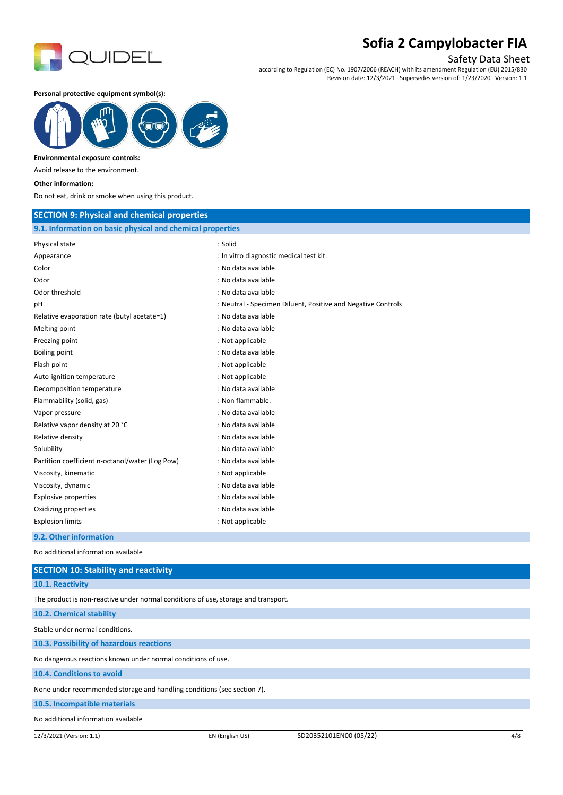

## Safety Data Sheet

according to Regulation (EC) No. 1907/2006 (REACH) with its amendment Regulation (EU) 2015/830 Revision date: 12/3/2021 Supersedes version of: 1/23/2020 Version: 1.1

**Personal protective equipment symbol(s):**



#### **Environmental exposure controls:**

Avoid release to the environment.

#### **Other information:**

Do not eat, drink or smoke when using this product.

### **SECTION 9: Physical and chemical properties**

### **9.1. Information on basic physical and chemical properties**

| s.1. milomaalon on basic physical and chemical properties |                                                              |
|-----------------------------------------------------------|--------------------------------------------------------------|
| Physical state                                            | : Solid                                                      |
| Appearance                                                | : In vitro diagnostic medical test kit.                      |
| Color                                                     | : No data available                                          |
| Odor                                                      | : No data available                                          |
| Odor threshold                                            | : No data available                                          |
| рH                                                        | : Neutral - Specimen Diluent, Positive and Negative Controls |
| Relative evaporation rate (butyl acetate=1)               | : No data available                                          |
| Melting point                                             | : No data available                                          |
| Freezing point                                            | : Not applicable                                             |
| Boiling point                                             | : No data available                                          |
| Flash point                                               | : Not applicable                                             |
| Auto-ignition temperature                                 | : Not applicable                                             |
| Decomposition temperature                                 | : No data available                                          |
| Flammability (solid, gas)                                 | : Non flammable.                                             |
| Vapor pressure                                            | : No data available                                          |
| Relative vapor density at 20 °C                           | : No data available                                          |
| Relative density                                          | : No data available                                          |
| Solubility                                                | : No data available                                          |
| Partition coefficient n-octanol/water (Log Pow)           | : No data available                                          |
| Viscosity, kinematic                                      | : Not applicable                                             |
| Viscosity, dynamic                                        | : No data available                                          |
| <b>Explosive properties</b>                               | : No data available                                          |
| Oxidizing properties                                      | : No data available                                          |
| <b>Explosion limits</b>                                   | : Not applicable                                             |
| 0.3. Other information                                    |                                                              |

**9.2. Other information**

No additional information available

| <b>SECTION 10: Stability and reactivity</b>                                        |  |  |
|------------------------------------------------------------------------------------|--|--|
| 10.1. Reactivity                                                                   |  |  |
| The product is non-reactive under normal conditions of use, storage and transport. |  |  |
| 10.2. Chemical stability                                                           |  |  |
| Stable under normal conditions.                                                    |  |  |
| 10.3. Possibility of hazardous reactions                                           |  |  |
| No dangerous reactions known under normal conditions of use.                       |  |  |
| 10.4. Conditions to avoid                                                          |  |  |
| None under recommended storage and handling conditions (see section 7).            |  |  |
| 10.5. Incompatible materials                                                       |  |  |
| No additional information available                                                |  |  |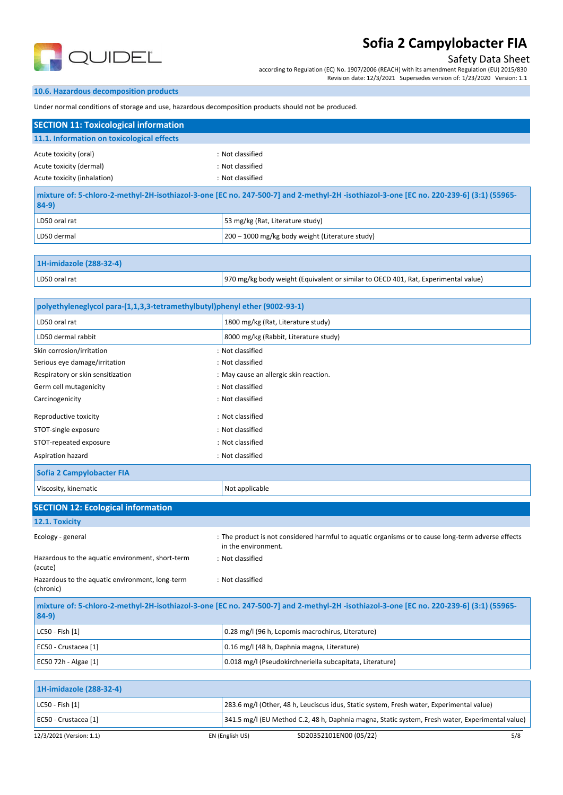

# Safety Data Sheet

according to Regulation (EC) No. 1907/2006 (REACH) with its amendment Regulation (EU) 2015/830 Revision date: 12/3/2021 Supersedes version of: 1/23/2020 Version: 1.1

### **10.6. Hazardous decomposition products**

Under normal conditions of storage and use, hazardous decomposition products should not be produced.

| <b>SECTION 11: Toxicological information</b> |                                                                                                                                         |  |
|----------------------------------------------|-----------------------------------------------------------------------------------------------------------------------------------------|--|
| 11.1. Information on toxicological effects   |                                                                                                                                         |  |
| Acute toxicity (oral)                        | : Not classified                                                                                                                        |  |
| Acute toxicity (dermal)                      | : Not classified                                                                                                                        |  |
| Acute toxicity (inhalation)                  | : Not classified                                                                                                                        |  |
| $84-9)$                                      | mixture of: 5-chloro-2-methyl-2H-isothiazol-3-one [EC no. 247-500-7] and 2-methyl-2H -isothiazol-3-one [EC no. 220-239-6] (3:1) (55965- |  |
| LD50 oral rat                                | 53 mg/kg (Rat, Literature study)                                                                                                        |  |
| LD50 dermal                                  | 200 - 1000 mg/kg body weight (Literature study)                                                                                         |  |
|                                              |                                                                                                                                         |  |

# **1H-imidazole (288-32-4)**

|  | LD50 oral rat | 970 mg/kg body weight (Equivalent or similar to OECD 401, Rat, Experimental value) |
|--|---------------|------------------------------------------------------------------------------------|
|--|---------------|------------------------------------------------------------------------------------|

| polyethyleneglycol para-(1,1,3,3-tetramethylbutyl)phenyl ether (9002-93-1) |                                                                                                                                         |  |  |
|----------------------------------------------------------------------------|-----------------------------------------------------------------------------------------------------------------------------------------|--|--|
| LD50 oral rat                                                              | 1800 mg/kg (Rat, Literature study)                                                                                                      |  |  |
| LD50 dermal rabbit                                                         | 8000 mg/kg (Rabbit, Literature study)                                                                                                   |  |  |
| Skin corrosion/irritation                                                  | : Not classified                                                                                                                        |  |  |
| Serious eye damage/irritation                                              | : Not classified                                                                                                                        |  |  |
| Respiratory or skin sensitization                                          | : May cause an allergic skin reaction.                                                                                                  |  |  |
| Germ cell mutagenicity                                                     | : Not classified                                                                                                                        |  |  |
| Carcinogenicity                                                            | : Not classified                                                                                                                        |  |  |
| Reproductive toxicity                                                      | : Not classified                                                                                                                        |  |  |
| STOT-single exposure                                                       | : Not classified                                                                                                                        |  |  |
| STOT-repeated exposure                                                     | : Not classified                                                                                                                        |  |  |
| Aspiration hazard                                                          | : Not classified                                                                                                                        |  |  |
| <b>Sofia 2 Campylobacter FIA</b>                                           |                                                                                                                                         |  |  |
| Viscosity, kinematic                                                       | Not applicable                                                                                                                          |  |  |
| <b>SECTION 12: Ecological information</b>                                  |                                                                                                                                         |  |  |
| 12.1. Toxicity                                                             |                                                                                                                                         |  |  |
| Ecology - general                                                          | : The product is not considered harmful to aquatic organisms or to cause long-term adverse effects<br>in the environment.               |  |  |
| Hazardous to the aquatic environment, short-term<br>(acute)                | : Not classified                                                                                                                        |  |  |
| Hazardous to the aquatic environment, long-term<br>(chronic)               | : Not classified                                                                                                                        |  |  |
| $84-9)$                                                                    | mixture of: 5-chloro-2-methyl-2H-isothiazol-3-one [EC no. 247-500-7] and 2-methyl-2H -isothiazol-3-one [EC no. 220-239-6] (3:1) (55965- |  |  |
| LC50 - Fish [1]                                                            | 0.28 mg/l (96 h, Lepomis macrochirus, Literature)                                                                                       |  |  |
| EC50 - Crustacea [1]                                                       | 0.16 mg/l (48 h, Daphnia magna, Literature)                                                                                             |  |  |
| EC50 72h - Algae [1]                                                       | 0.018 mg/l (Pseudokirchneriella subcapitata, Literature)                                                                                |  |  |
|                                                                            |                                                                                                                                         |  |  |
| 1H-imidazole (288-32-4)                                                    |                                                                                                                                         |  |  |
|                                                                            |                                                                                                                                         |  |  |

| LC50 - Fish [1]      | 283.6 mg/l (Other, 48 h, Leuciscus idus, Static system, Fresh water, Experimental value)        |
|----------------------|-------------------------------------------------------------------------------------------------|
| EC50 - Crustacea [1] | 341.5 mg/l (EU Method C.2, 48 h, Daphnia magna, Static system, Fresh water, Experimental value) |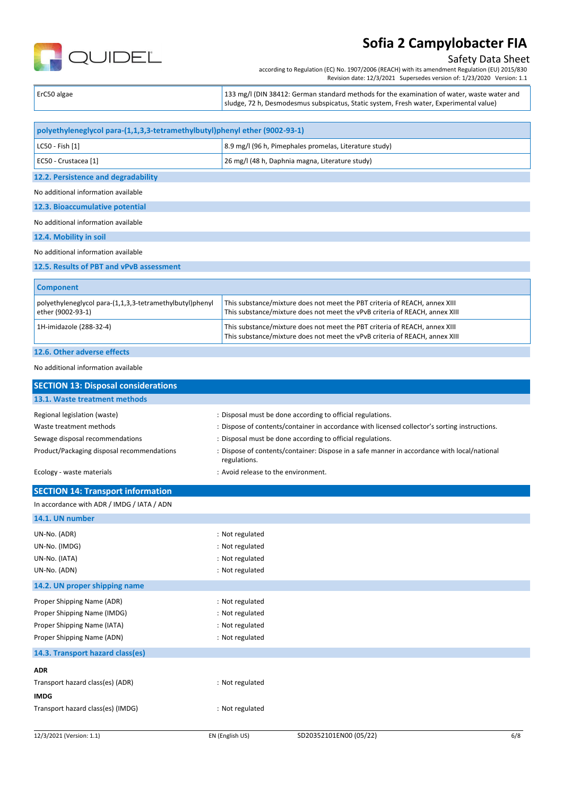

## Safety Data Sheet

according to Regulation (EC) No. 1907/2006 (REACH) with its amendment Regulation (EU) 2015/830 Revision date: 12/3/2021 Supersedes version of: 1/23/2020 Version: 1.1

| ErC50 algae | 133 mg/l (DIN 38412: German standard methods for the examination of water, waste water and<br>  sludge, 72 h, Desmodesmus subspicatus, Static system, Fresh water, Experimental value) |
|-------------|----------------------------------------------------------------------------------------------------------------------------------------------------------------------------------------|
|             |                                                                                                                                                                                        |

| polyethyleneglycol para-(1,1,3,3-tetramethylbutyl)phenyl ether (9002-93-1)    |                                                                                                                                                           |  |  |
|-------------------------------------------------------------------------------|-----------------------------------------------------------------------------------------------------------------------------------------------------------|--|--|
| LC50 - Fish [1]                                                               | 8.9 mg/l (96 h, Pimephales promelas, Literature study)                                                                                                    |  |  |
| EC50 - Crustacea [1]                                                          | 26 mg/l (48 h, Daphnia magna, Literature study)                                                                                                           |  |  |
| 12.2. Persistence and degradability                                           |                                                                                                                                                           |  |  |
| No additional information available                                           |                                                                                                                                                           |  |  |
| 12.3. Bioaccumulative potential                                               |                                                                                                                                                           |  |  |
| No additional information available                                           |                                                                                                                                                           |  |  |
| 12.4. Mobility in soil                                                        |                                                                                                                                                           |  |  |
| No additional information available                                           |                                                                                                                                                           |  |  |
| 12.5. Results of PBT and vPvB assessment                                      |                                                                                                                                                           |  |  |
| <b>Component</b>                                                              |                                                                                                                                                           |  |  |
| polyethyleneglycol para-(1,1,3,3-tetramethylbutyl)phenyl<br>ether (9002-93-1) | This substance/mixture does not meet the PBT criteria of REACH, annex XIII<br>This substance/mixture does not meet the vPvB criteria of REACH, annex XIII |  |  |
| 1H-imidazole (288-32-4)                                                       | This substance/mixture does not meet the PBT criteria of REACH, annex XIII<br>This substance/mixture does not meet the vPvB criteria of REACH, annex XIII |  |  |

### **12.6. Other adverse effects**

#### No additional information available

| <b>SECTION 13: Disposal considerations</b>                                                                                                                            |                                                                          |                                                                                                                                                                                                                                                                                                                          |     |
|-----------------------------------------------------------------------------------------------------------------------------------------------------------------------|--------------------------------------------------------------------------|--------------------------------------------------------------------------------------------------------------------------------------------------------------------------------------------------------------------------------------------------------------------------------------------------------------------------|-----|
| 13.1. Waste treatment methods                                                                                                                                         |                                                                          |                                                                                                                                                                                                                                                                                                                          |     |
| Regional legislation (waste)<br>Waste treatment methods<br>Sewage disposal recommendations<br>Product/Packaging disposal recommendations<br>Ecology - waste materials | regulations.<br>: Avoid release to the environment.                      | : Disposal must be done according to official regulations.<br>: Dispose of contents/container in accordance with licensed collector's sorting instructions.<br>: Disposal must be done according to official regulations.<br>: Dispose of contents/container: Dispose in a safe manner in accordance with local/national |     |
| <b>SECTION 14: Transport information</b>                                                                                                                              |                                                                          |                                                                                                                                                                                                                                                                                                                          |     |
| In accordance with ADR / IMDG / IATA / ADN                                                                                                                            |                                                                          |                                                                                                                                                                                                                                                                                                                          |     |
| 14.1. UN number                                                                                                                                                       |                                                                          |                                                                                                                                                                                                                                                                                                                          |     |
| UN-No. (ADR)<br>UN-No. (IMDG)<br>UN-No. (IATA)<br>UN-No. (ADN)                                                                                                        | : Not regulated<br>: Not regulated<br>: Not regulated<br>: Not regulated |                                                                                                                                                                                                                                                                                                                          |     |
| 14.2. UN proper shipping name                                                                                                                                         |                                                                          |                                                                                                                                                                                                                                                                                                                          |     |
| Proper Shipping Name (ADR)<br>Proper Shipping Name (IMDG)<br>Proper Shipping Name (IATA)<br>Proper Shipping Name (ADN)                                                | : Not regulated<br>: Not regulated<br>: Not regulated<br>: Not regulated |                                                                                                                                                                                                                                                                                                                          |     |
| 14.3. Transport hazard class(es)                                                                                                                                      |                                                                          |                                                                                                                                                                                                                                                                                                                          |     |
| <b>ADR</b><br>Transport hazard class(es) (ADR)<br><b>IMDG</b><br>Transport hazard class(es) (IMDG)                                                                    | : Not regulated<br>: Not regulated                                       |                                                                                                                                                                                                                                                                                                                          |     |
| 12/3/2021 (Version: 1.1)                                                                                                                                              | EN (English US)                                                          | SD20352101EN00 (05/22)                                                                                                                                                                                                                                                                                                   | 6/8 |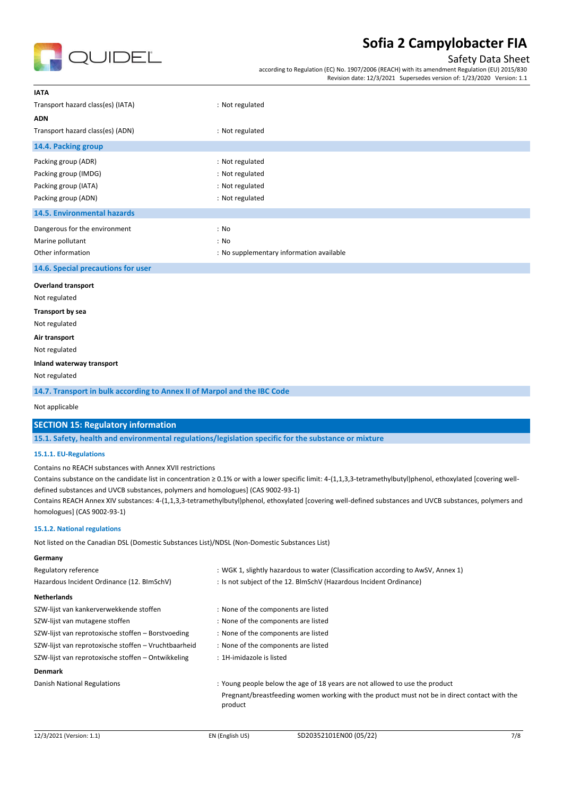

## Safety Data Sheet

according to Regulation (EC) No. 1907/2006 (REACH) with its amendment Regulation (EU) 2015/830 Revision date: 12/3/2021 Supersedes version of: 1/23/2020 Version: 1.1

| <b>IATA</b>                                                              |                                          |  |  |  |
|--------------------------------------------------------------------------|------------------------------------------|--|--|--|
| Transport hazard class(es) (IATA)                                        | : Not regulated                          |  |  |  |
| <b>ADN</b>                                                               |                                          |  |  |  |
| Transport hazard class(es) (ADN)                                         | : Not regulated                          |  |  |  |
| 14.4. Packing group                                                      |                                          |  |  |  |
| Packing group (ADR)                                                      | : Not regulated                          |  |  |  |
| Packing group (IMDG)                                                     | : Not regulated                          |  |  |  |
| Packing group (IATA)                                                     | : Not regulated                          |  |  |  |
| Packing group (ADN)                                                      | : Not regulated                          |  |  |  |
| 14.5. Environmental hazards                                              |                                          |  |  |  |
| Dangerous for the environment                                            | : No                                     |  |  |  |
| Marine pollutant                                                         | : No                                     |  |  |  |
| Other information                                                        | : No supplementary information available |  |  |  |
| 14.6. Special precautions for user                                       |                                          |  |  |  |
| <b>Overland transport</b>                                                |                                          |  |  |  |
| Not regulated                                                            |                                          |  |  |  |
| Transport by sea                                                         |                                          |  |  |  |
| Not regulated                                                            |                                          |  |  |  |
| Air transport                                                            |                                          |  |  |  |
| Not regulated                                                            |                                          |  |  |  |
| Inland waterway transport                                                |                                          |  |  |  |
| Not regulated                                                            |                                          |  |  |  |
| 14.7. Transport in bulk according to Annex II of Marpol and the IBC Code |                                          |  |  |  |
|                                                                          |                                          |  |  |  |

Not applicable

### **SECTION 15: Regulatory information**

**15.1. Safety, health and environmental regulations/legislation specific for the substance or mixture**

#### **15.1.1. EU-Regulations**

Contains no REACH substances with Annex XVII restrictions

Contains substance on the candidate list in concentration ≥ 0.1% or with a lower specific limit: 4-(1,1,3,3-tetramethylbutyl)phenol, ethoxylated [covering welldefined substances and UVCB substances, polymers and homologues] (CAS 9002-93-1)

Contains REACH Annex XIV substances: 4-(1,1,3,3-tetramethylbutyl)phenol, ethoxylated [covering well-defined substances and UVCB substances, polymers and homologues] (CAS 9002-93-1)

#### **15.1.2. National regulations**

**Germany**

Not listed on the Canadian DSL (Domestic Substances List)/NDSL (Non-Domestic Substances List)

| Regulatory reference                                 | : WGK 1, slightly hazardous to water (Classification according to AwSV, Annex 1)                        |  |
|------------------------------------------------------|---------------------------------------------------------------------------------------------------------|--|
| Hazardous Incident Ordinance (12. BImSchV)           | : Is not subject of the 12. BlmSchV (Hazardous Incident Ordinance)                                      |  |
| <b>Netherlands</b>                                   |                                                                                                         |  |
| SZW-lijst van kankerverwekkende stoffen              | : None of the components are listed                                                                     |  |
| SZW-lijst van mutagene stoffen                       | : None of the components are listed                                                                     |  |
| SZW-lijst van reprotoxische stoffen - Borstvoeding   | : None of the components are listed                                                                     |  |
| SZW-lijst van reprotoxische stoffen - Vruchtbaarheid | : None of the components are listed                                                                     |  |
| SZW-lijst van reprotoxische stoffen - Ontwikkeling   | : 1H-imidazole is listed                                                                                |  |
| <b>Denmark</b>                                       |                                                                                                         |  |
| Danish National Regulations                          | : Young people below the age of 18 years are not allowed to use the product                             |  |
|                                                      | Pregnant/breastfeeding women working with the product must not be in direct contact with the<br>product |  |
|                                                      |                                                                                                         |  |
|                                                      |                                                                                                         |  |